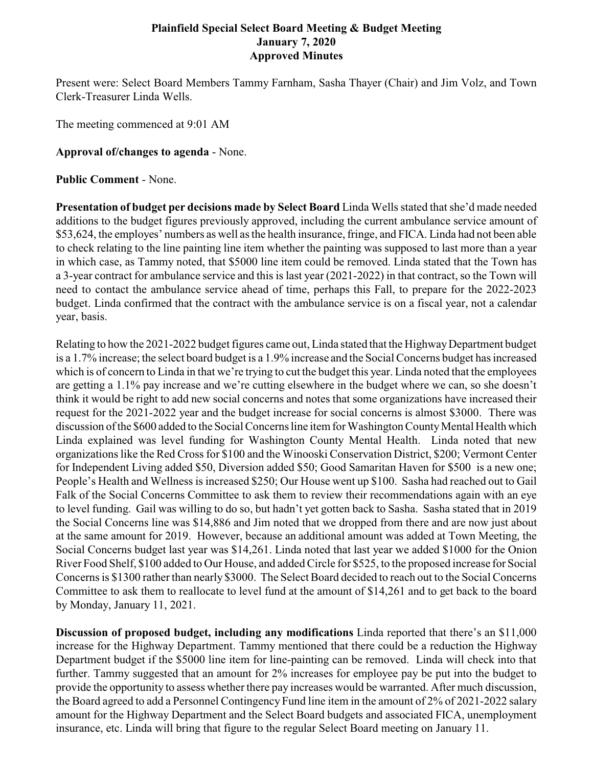## **Plainfield Special Select Board Meeting & Budget Meeting January 7, 2020 Approved Minutes**

Present were: Select Board Members Tammy Farnham, Sasha Thayer (Chair) and Jim Volz, and Town Clerk-Treasurer Linda Wells.

The meeting commenced at 9:01 AM

## **Approval of/changes to agenda** - None.

**Public Comment** - None.

**Presentation of budget per decisions made by Select Board** Linda Wells stated that she'd made needed additions to the budget figures previously approved, including the current ambulance service amount of \$53,624, the employes' numbers as well as the health insurance, fringe, and FICA. Linda had not been able to check relating to the line painting line item whether the painting was supposed to last more than a year in which case, as Tammy noted, that \$5000 line item could be removed. Linda stated that the Town has a 3-year contract for ambulance service and this is last year (2021-2022) in that contract, so the Town will need to contact the ambulance service ahead of time, perhaps this Fall, to prepare for the 2022-2023 budget. Linda confirmed that the contract with the ambulance service is on a fiscal year, not a calendar year, basis.

Relating to how the 2021-2022 budget figures came out, Linda stated that the Highway Department budget is a 1.7% increase; the select board budget is a 1.9% increase and the Social Concerns budget has increased which is of concern to Linda in that we're trying to cut the budget this year. Linda noted that the employees are getting a 1.1% pay increase and we're cutting elsewhere in the budget where we can, so she doesn't think it would be right to add new social concerns and notes that some organizations have increased their request for the 2021-2022 year and the budget increase for social concerns is almost \$3000. There was discussion of the \$600 added to the Social Concerns line item for Washington County Mental Health which Linda explained was level funding for Washington County Mental Health. Linda noted that new organizations like the Red Cross for \$100 and the Winooski Conservation District, \$200; Vermont Center for Independent Living added \$50, Diversion added \$50; Good Samaritan Haven for \$500 is a new one; People's Health and Wellness is increased \$250; Our House went up \$100. Sasha had reached out to Gail Falk of the Social Concerns Committee to ask them to review their recommendations again with an eye to level funding. Gail was willing to do so, but hadn't yet gotten back to Sasha. Sasha stated that in 2019 the Social Concerns line was \$14,886 and Jim noted that we dropped from there and are now just about at the same amount for 2019. However, because an additional amount was added at Town Meeting, the Social Concerns budget last year was \$14,261. Linda noted that last year we added \$1000 for the Onion River Food Shelf, \$100 added to Our House, and added Circle for \$525, to the proposed increase for Social Concerns is \$1300 rather than nearly \$3000. The Select Board decided to reach out to the Social Concerns Committee to ask them to reallocate to level fund at the amount of \$14,261 and to get back to the board by Monday, January 11, 2021.

**Discussion of proposed budget, including any modifications** Linda reported that there's an \$11,000 increase for the Highway Department. Tammy mentioned that there could be a reduction the Highway Department budget if the \$5000 line item for line-painting can be removed. Linda will check into that further. Tammy suggested that an amount for 2% increases for employee pay be put into the budget to provide the opportunity to assess whether there pay increases would be warranted. After much discussion, the Board agreed to add a Personnel Contingency Fund line item in the amount of 2% of 2021-2022 salary amount for the Highway Department and the Select Board budgets and associated FICA, unemployment insurance, etc. Linda will bring that figure to the regular Select Board meeting on January 11.